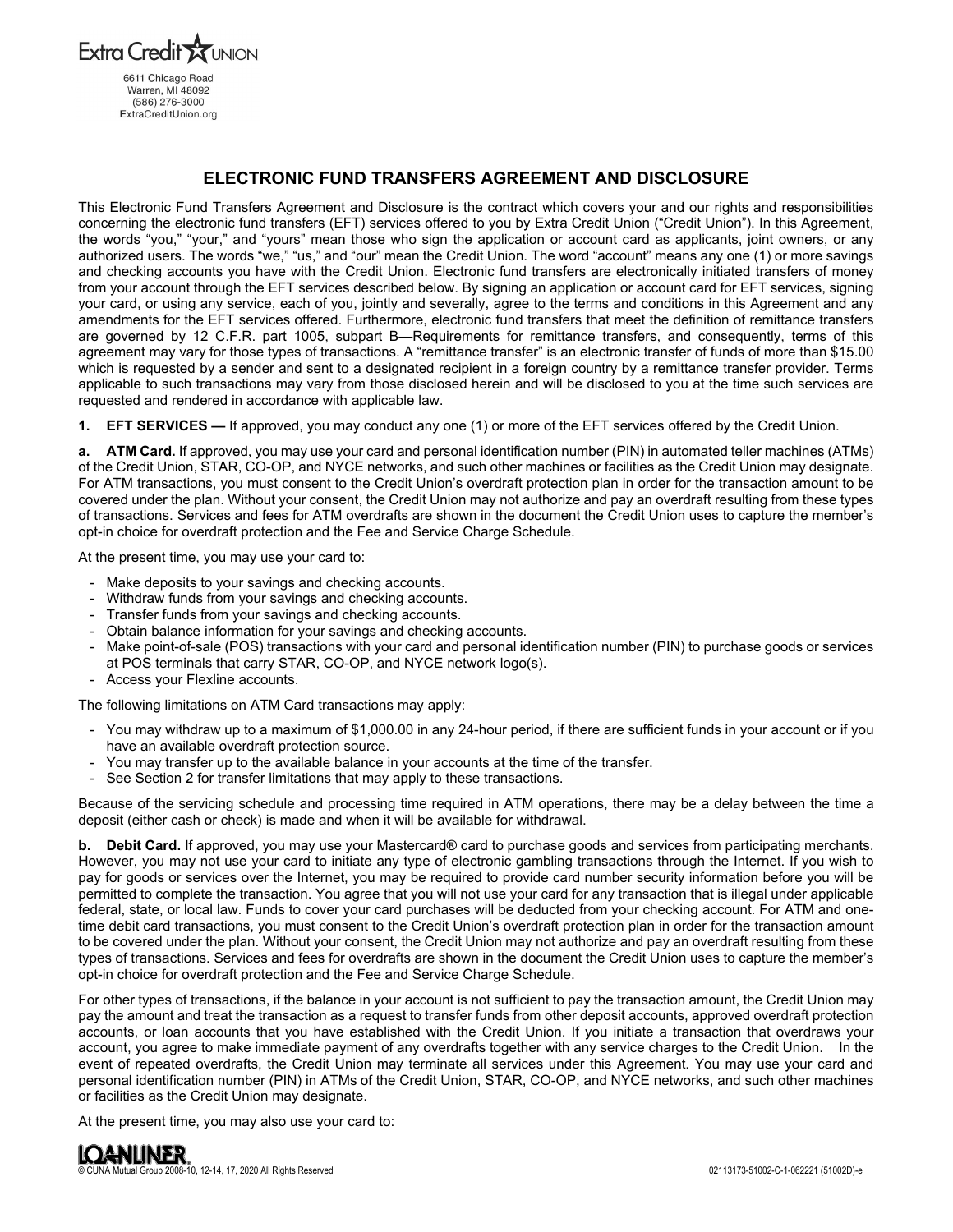Extra Credit 6611 Chicago Road Warren, MI 48092 (586) 276-3000 ExtraCreditUnion.org

# **ELECTRONIC FUND TRANSFERS AGREEMENT AND DISCLOSURE**

This Electronic Fund Transfers Agreement and Disclosure is the contract which covers your and our rights and responsibilities concerning the electronic fund transfers (EFT) services offered to you by Extra Credit Union ("Credit Union"). In this Agreement, the words "you," "your," and "yours" mean those who sign the application or account card as applicants, joint owners, or any authorized users. The words "we," "us," and "our" mean the Credit Union. The word "account" means any one (1) or more savings and checking accounts you have with the Credit Union. Electronic fund transfers are electronically initiated transfers of money from your account through the EFT services described below. By signing an application or account card for EFT services, signing your card, or using any service, each of you, jointly and severally, agree to the terms and conditions in this Agreement and any amendments for the EFT services offered. Furthermore, electronic fund transfers that meet the definition of remittance transfers are governed by 12 C.F.R. part 1005, subpart B—Requirements for remittance transfers, and consequently, terms of this agreement may vary for those types of transactions. A "remittance transfer" is an electronic transfer of funds of more than \$15.00 which is requested by a sender and sent to a designated recipient in a foreign country by a remittance transfer provider. Terms applicable to such transactions may vary from those disclosed herein and will be disclosed to you at the time such services are requested and rendered in accordance with applicable law.

**1. EFT SERVICES —** If approved, you may conduct any one (1) or more of the EFT services offered by the Credit Union.

**a. ATM Card.** If approved, you may use your card and personal identification number (PIN) in automated teller machines (ATMs) of the Credit Union, STAR, CO-OP, and NYCE networks, and such other machines or facilities as the Credit Union may designate. For ATM transactions, you must consent to the Credit Union's overdraft protection plan in order for the transaction amount to be covered under the plan. Without your consent, the Credit Union may not authorize and pay an overdraft resulting from these types of transactions. Services and fees for ATM overdrafts are shown in the document the Credit Union uses to capture the member's opt-in choice for overdraft protection and the Fee and Service Charge Schedule.

At the present time, you may use your card to:

- Make deposits to your savings and checking accounts.
- Withdraw funds from your savings and checking accounts.
- Transfer funds from your savings and checking accounts.
- Obtain balance information for your savings and checking accounts.
- Make point-of-sale (POS) transactions with your card and personal identification number (PIN) to purchase goods or services at POS terminals that carry STAR, CO-OP, and NYCE network logo(s).
- Access your Flexline accounts.

The following limitations on ATM Card transactions may apply:

- You may withdraw up to a maximum of \$1,000.00 in any 24-hour period, if there are sufficient funds in your account or if you have an available overdraft protection source.
- You may transfer up to the available balance in your accounts at the time of the transfer.
- See Section 2 for transfer limitations that may apply to these transactions.

Because of the servicing schedule and processing time required in ATM operations, there may be a delay between the time a deposit (either cash or check) is made and when it will be available for withdrawal.

**b.** Debit Card. If approved, you may use your Mastercard® card to purchase goods and services from participating merchants. However, you may not use your card to initiate any type of electronic gambling transactions through the Internet. If you wish to pay for goods or services over the Internet, you may be required to provide card number security information before you will be permitted to complete the transaction. You agree that you will not use your card for any transaction that is illegal under applicable federal, state, or local law. Funds to cover your card purchases will be deducted from your checking account. For ATM and onetime debit card transactions, you must consent to the Credit Union's overdraft protection plan in order for the transaction amount to be covered under the plan. Without your consent, the Credit Union may not authorize and pay an overdraft resulting from these types of transactions. Services and fees for overdrafts are shown in the document the Credit Union uses to capture the member's opt-in choice for overdraft protection and the Fee and Service Charge Schedule.

For other types of transactions, if the balance in your account is not sufficient to pay the transaction amount, the Credit Union may pay the amount and treat the transaction as a request to transfer funds from other deposit accounts, approved overdraft protection accounts, or loan accounts that you have established with the Credit Union. If you initiate a transaction that overdraws your account, you agree to make immediate payment of any overdrafts together with any service charges to the Credit Union. In the event of repeated overdrafts, the Credit Union may terminate all services under this Agreement. You may use your card and personal identification number (PIN) in ATMs of the Credit Union, STAR, CO-OP, and NYCE networks, and such other machines or facilities as the Credit Union may designate.

At the present time, you may also use your card to:

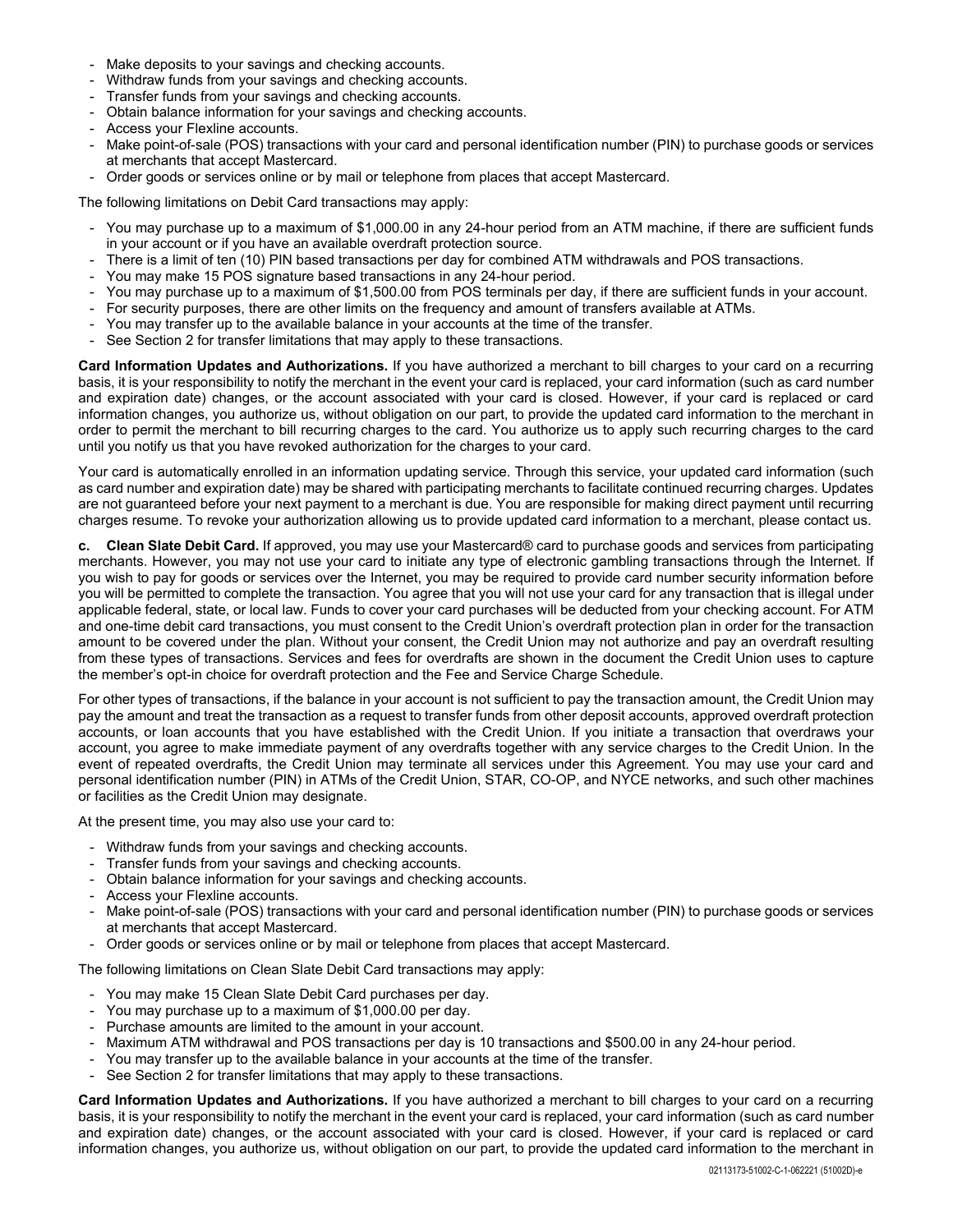- Make deposits to your savings and checking accounts.
- Withdraw funds from your savings and checking accounts.
- Transfer funds from your savings and checking accounts.
- Obtain balance information for your savings and checking accounts.
- Access your Flexline accounts.
- Make point-of-sale (POS) transactions with your card and personal identification number (PIN) to purchase goods or services at merchants that accept Mastercard.
- Order goods or services online or by mail or telephone from places that accept Mastercard.

The following limitations on Debit Card transactions may apply:

- You may purchase up to a maximum of \$1,000.00 in any 24-hour period from an ATM machine, if there are sufficient funds in your account or if you have an available overdraft protection source.
- There is a limit of ten (10) PIN based transactions per day for combined ATM withdrawals and POS transactions.
- You may make 15 POS signature based transactions in any 24-hour period.
- You may purchase up to a maximum of \$1,500.00 from POS terminals per day, if there are sufficient funds in your account.
- For security purposes, there are other limits on the frequency and amount of transfers available at ATMs.
- You may transfer up to the available balance in your accounts at the time of the transfer.
- See Section 2 for transfer limitations that may apply to these transactions.

**Card Information Updates and Authorizations.** If you have authorized a merchant to bill charges to your card on a recurring basis, it is your responsibility to notify the merchant in the event your card is replaced, your card information (such as card number and expiration date) changes, or the account associated with your card is closed. However, if your card is replaced or card information changes, you authorize us, without obligation on our part, to provide the updated card information to the merchant in order to permit the merchant to bill recurring charges to the card. You authorize us to apply such recurring charges to the card until you notify us that you have revoked authorization for the charges to your card.

Your card is automatically enrolled in an information updating service. Through this service, your updated card information (such as card number and expiration date) may be shared with participating merchants to facilitate continued recurring charges. Updates are not guaranteed before your next payment to a merchant is due. You are responsible for making direct payment until recurring charges resume. To revoke your authorization allowing us to provide updated card information to a merchant, please contact us.

**c. Clean Slate Debit Card.** If approved, you may use your Mastercard® card to purchase goods and services from participating merchants. However, you may not use your card to initiate any type of electronic gambling transactions through the Internet. If you wish to pay for goods or services over the Internet, you may be required to provide card number security information before you will be permitted to complete the transaction. You agree that you will not use your card for any transaction that is illegal under applicable federal, state, or local law. Funds to cover your card purchases will be deducted from your checking account. For ATM and one-time debit card transactions, you must consent to the Credit Union's overdraft protection plan in order for the transaction amount to be covered under the plan. Without your consent, the Credit Union may not authorize and pay an overdraft resulting from these types of transactions. Services and fees for overdrafts are shown in the document the Credit Union uses to capture the member's opt-in choice for overdraft protection and the Fee and Service Charge Schedule.

For other types of transactions, if the balance in your account is not sufficient to pay the transaction amount, the Credit Union may pay the amount and treat the transaction as a request to transfer funds from other deposit accounts, approved overdraft protection accounts, or loan accounts that you have established with the Credit Union. If you initiate a transaction that overdraws your account, you agree to make immediate payment of any overdrafts together with any service charges to the Credit Union. In the event of repeated overdrafts, the Credit Union may terminate all services under this Agreement. You may use your card and personal identification number (PIN) in ATMs of the Credit Union, STAR, CO-OP, and NYCE networks, and such other machines or facilities as the Credit Union may designate.

At the present time, you may also use your card to:

- Withdraw funds from your savings and checking accounts.
- Transfer funds from your savings and checking accounts.
- Obtain balance information for your savings and checking accounts.
- Access your Flexline accounts.
- Make point-of-sale (POS) transactions with your card and personal identification number (PIN) to purchase goods or services at merchants that accept Mastercard.
- Order goods or services online or by mail or telephone from places that accept Mastercard.

The following limitations on Clean Slate Debit Card transactions may apply:

- You may make 15 Clean Slate Debit Card purchases per day.
- You may purchase up to a maximum of \$1,000.00 per day.
- Purchase amounts are limited to the amount in your account.
- Maximum ATM withdrawal and POS transactions per day is 10 transactions and \$500.00 in any 24-hour period.
- You may transfer up to the available balance in your accounts at the time of the transfer.
- See Section 2 for transfer limitations that may apply to these transactions.

**Card Information Updates and Authorizations.** If you have authorized a merchant to bill charges to your card on a recurring basis, it is your responsibility to notify the merchant in the event your card is replaced, your card information (such as card number and expiration date) changes, or the account associated with your card is closed. However, if your card is replaced or card information changes, you authorize us, without obligation on our part, to provide the updated card information to the merchant in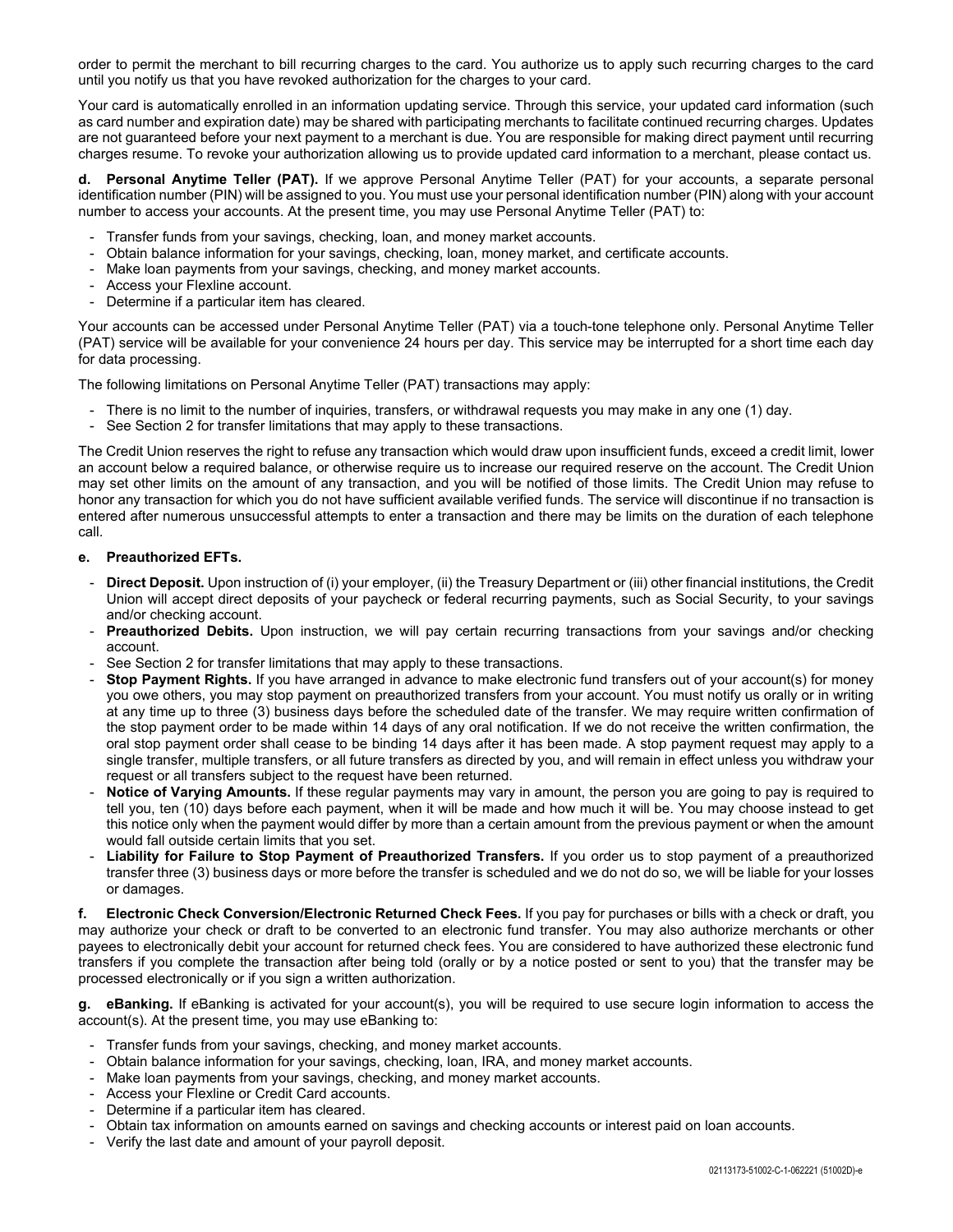order to permit the merchant to bill recurring charges to the card. You authorize us to apply such recurring charges to the card until you notify us that you have revoked authorization for the charges to your card.

Your card is automatically enrolled in an information updating service. Through this service, your updated card information (such as card number and expiration date) may be shared with participating merchants to facilitate continued recurring charges. Updates are not guaranteed before your next payment to a merchant is due. You are responsible for making direct payment until recurring charges resume. To revoke your authorization allowing us to provide updated card information to a merchant, please contact us.

**Personal Anytime Teller (PAT).** If we approve Personal Anytime Teller (PAT) for your accounts, a separate personal identification number (PIN) will be assigned to you. You must use your personal identification number (PIN) along with your account number to access your accounts. At the present time, you may use Personal Anytime Teller (PAT) to:

- Transfer funds from your savings, checking, loan, and money market accounts.
- Obtain balance information for your savings, checking, loan, money market, and certificate accounts.
- Make loan payments from your savings, checking, and money market accounts.
- Access your Flexline account.
- Determine if a particular item has cleared.

Your accounts can be accessed under Personal Anytime Teller (PAT) via a touch-tone telephone only. Personal Anytime Teller (PAT) service will be available for your convenience 24 hours per day. This service may be interrupted for a short time each day for data processing.

The following limitations on Personal Anytime Teller (PAT) transactions may apply:

- There is no limit to the number of inquiries, transfers, or withdrawal requests you may make in any one (1) day.
- See Section 2 for transfer limitations that may apply to these transactions.

The Credit Union reserves the right to refuse any transaction which would draw upon insufficient funds, exceed a credit limit, lower an account below a required balance, or otherwise require us to increase our required reserve on the account. The Credit Union may set other limits on the amount of any transaction, and you will be notified of those limits. The Credit Union may refuse to honor any transaction for which you do not have sufficient available verified funds. The service will discontinue if no transaction is entered after numerous unsuccessful attempts to enter a transaction and there may be limits on the duration of each telephone call.

#### **e. Preauthorized EFTs.**

- Direct Deposit. Upon instruction of (i) your employer, (ii) the Treasury Department or (iii) other financial institutions, the Credit Union will accept direct deposits of your paycheck or federal recurring payments, such as Social Security, to your savings and/or checking account.
- **Preauthorized Debits.** Upon instruction, we will pay certain recurring transactions from your savings and/or checking account.
- See Section 2 for transfer limitations that may apply to these transactions.
- **Stop Payment Rights.** If you have arranged in advance to make electronic fund transfers out of your account(s) for money you owe others, you may stop payment on preauthorized transfers from your account. You must notify us orally or in writing at any time up to three (3) business days before the scheduled date of the transfer. We may require written confirmation of the stop payment order to be made within 14 days of any oral notification. If we do not receive the written confirmation, the oral stop payment order shall cease to be binding 14 days after it has been made. A stop payment request may apply to a single transfer, multiple transfers, or all future transfers as directed by you, and will remain in effect unless you withdraw your request or all transfers subject to the request have been returned.
- **Notice of Varying Amounts.** If these regular payments may vary in amount, the person you are going to pay is required to tell you, ten (10) days before each payment, when it will be made and how much it will be. You may choose instead to get this notice only when the payment would differ by more than a certain amount from the previous payment or when the amount would fall outside certain limits that you set.
- Liability for Failure to Stop Payment of Preauthorized Transfers. If you order us to stop payment of a preauthorized transfer three (3) business days or more before the transfer is scheduled and we do not do so, we will be liable for your losses or damages.

**f. Electronic Check Conversion/Electronic Returned Check Fees.** If you pay for purchases or bills with a check or draft, you may authorize your check or draft to be converted to an electronic fund transfer. You may also authorize merchants or other payees to electronically debit your account for returned check fees. You are considered to have authorized these electronic fund transfers if you complete the transaction after being told (orally or by a notice posted or sent to you) that the transfer may be processed electronically or if you sign a written authorization.

**g. eBanking.** If eBanking is activated for your account(s), you will be required to use secure login information to access the account(s). At the present time, you may use eBanking to:

- Transfer funds from your savings, checking, and money market accounts.
- Obtain balance information for your savings, checking, loan, IRA, and money market accounts.
- Make loan payments from your savings, checking, and money market accounts.
- Access your Flexline or Credit Card accounts.
- Determine if a particular item has cleared.
- Obtain tax information on amounts earned on savings and checking accounts or interest paid on loan accounts.
- Verify the last date and amount of your payroll deposit.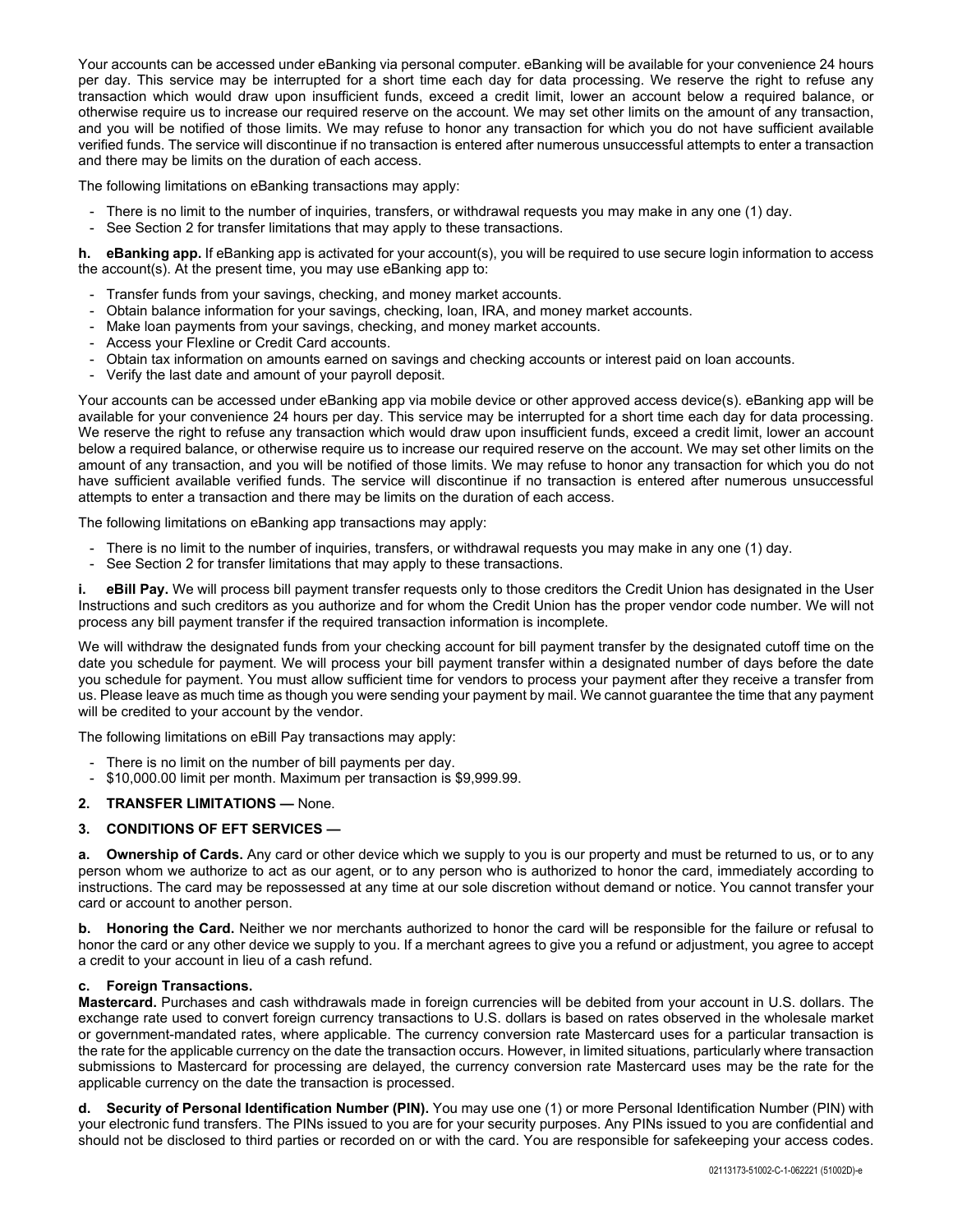Your accounts can be accessed under eBanking via personal computer. eBanking will be available for your convenience 24 hours per day. This service may be interrupted for a short time each day for data processing. We reserve the right to refuse any transaction which would draw upon insufficient funds, exceed a credit limit, lower an account below a required balance, or otherwise require us to increase our required reserve on the account. We may set other limits on the amount of any transaction, and you will be notified of those limits. We may refuse to honor any transaction for which you do not have sufficient available verified funds. The service will discontinue if no transaction is entered after numerous unsuccessful attempts to enter a transaction and there may be limits on the duration of each access.

The following limitations on eBanking transactions may apply:

- There is no limit to the number of inquiries, transfers, or withdrawal requests you may make in any one (1) day.
- See Section 2 for transfer limitations that may apply to these transactions.

**h. eBanking app.** If eBanking app is activated for your account(s), you will be required to use secure login information to access the account(s). At the present time, you may use eBanking app to:

- Transfer funds from your savings, checking, and money market accounts.
- Obtain balance information for your savings, checking, loan, IRA, and money market accounts.
- Make loan payments from your savings, checking, and money market accounts.
- Access your Flexline or Credit Card accounts.
- Obtain tax information on amounts earned on savings and checking accounts or interest paid on loan accounts.
- Verify the last date and amount of your payroll deposit.

Your accounts can be accessed under eBanking app via mobile device or other approved access device(s). eBanking app will be available for your convenience 24 hours per day. This service may be interrupted for a short time each day for data processing. We reserve the right to refuse any transaction which would draw upon insufficient funds, exceed a credit limit, lower an account below a required balance, or otherwise require us to increase our required reserve on the account. We may set other limits on the amount of any transaction, and you will be notified of those limits. We may refuse to honor any transaction for which you do not have sufficient available verified funds. The service will discontinue if no transaction is entered after numerous unsuccessful attempts to enter a transaction and there may be limits on the duration of each access.

The following limitations on eBanking app transactions may apply:

- There is no limit to the number of inquiries, transfers, or withdrawal requests you may make in any one (1) day.
- See Section 2 for transfer limitations that may apply to these transactions.

**i.** eBill Pay. We will process bill payment transfer requests only to those creditors the Credit Union has designated in the User Instructions and such creditors as you authorize and for whom the Credit Union has the proper vendor code number. We will not process any bill payment transfer if the required transaction information is incomplete.

We will withdraw the designated funds from your checking account for bill payment transfer by the designated cutoff time on the date you schedule for payment. We will process your bill payment transfer within a designated number of days before the date you schedule for payment. You must allow sufficient time for vendors to process your payment after they receive a transfer from us. Please leave as much time as though you were sending your payment by mail. We cannot guarantee the time that any payment will be credited to your account by the vendor.

The following limitations on eBill Pay transactions may apply:

- There is no limit on the number of bill payments per day.
- \$10,000.00 limit per month. Maximum per transaction is \$9,999.99.

### **2. TRANSFER LIMITATIONS —** None.

### **3. CONDITIONS OF EFT SERVICES —**

**a. Ownership of Cards.** Any card or other device which we supply to you is our property and must be returned to us, or to any person whom we authorize to act as our agent, or to any person who is authorized to honor the card, immediately according to instructions. The card may be repossessed at any time at our sole discretion without demand or notice. You cannot transfer your card or account to another person.

**b. Honoring the Card.** Neither we nor merchants authorized to honor the card will be responsible for the failure or refusal to honor the card or any other device we supply to you. If a merchant agrees to give you a refund or adjustment, you agree to accept a credit to your account in lieu of a cash refund.

### **c. Foreign Transactions.**

**Mastercard.** Purchases and cash withdrawals made in foreign currencies will be debited from your account in U.S. dollars. The exchange rate used to convert foreign currency transactions to U.S. dollars is based on rates observed in the wholesale market or government-mandated rates, where applicable. The currency conversion rate Mastercard uses for a particular transaction is the rate for the applicable currency on the date the transaction occurs. However, in limited situations, particularly where transaction submissions to Mastercard for processing are delayed, the currency conversion rate Mastercard uses may be the rate for the applicable currency on the date the transaction is processed.

**d. Security of Personal Identification Number (PIN).** You may use one (1) or more Personal Identification Number (PIN) with your electronic fund transfers. The PINs issued to you are for your security purposes. Any PINs issued to you are confidential and should not be disclosed to third parties or recorded on or with the card. You are responsible for safekeeping your access codes.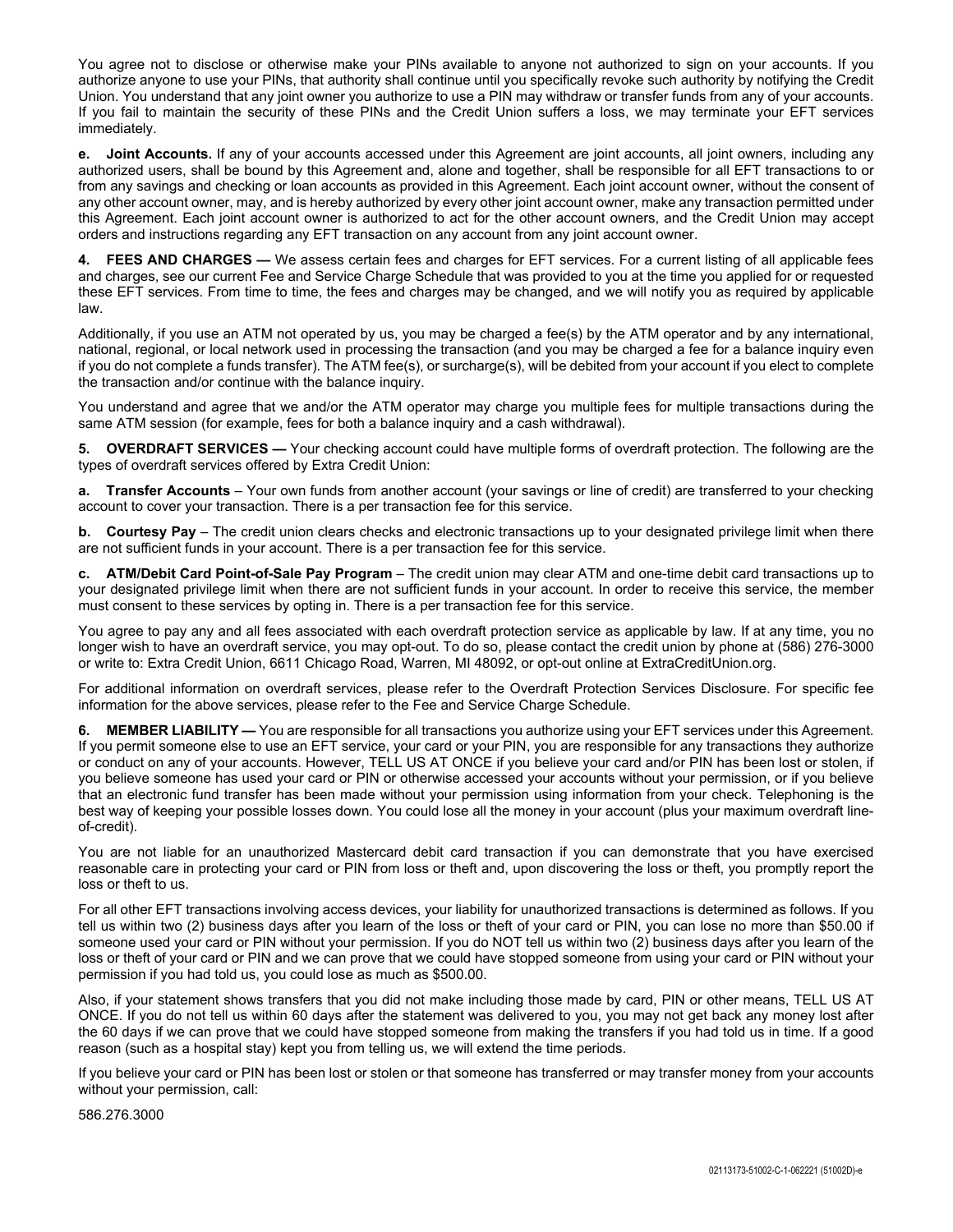You agree not to disclose or otherwise make your PINs available to anyone not authorized to sign on your accounts. If you authorize anyone to use your PINs, that authority shall continue until you specifically revoke such authority by notifying the Credit Union. You understand that any joint owner you authorize to use a PIN may withdraw or transfer funds from any of your accounts. If you fail to maintain the security of these PINs and the Credit Union suffers a loss, we may terminate your EFT services immediately.

**e. Joint Accounts.** If any of your accounts accessed under this Agreement are joint accounts, all joint owners, including any authorized users, shall be bound by this Agreement and, alone and together, shall be responsible for all EFT transactions to or from any savings and checking or loan accounts as provided in this Agreement. Each joint account owner, without the consent of any other account owner, may, and is hereby authorized by every other joint account owner, make any transaction permitted under this Agreement. Each joint account owner is authorized to act for the other account owners, and the Credit Union may accept orders and instructions regarding any EFT transaction on any account from any joint account owner.

FEES AND CHARGES — We assess certain fees and charges for EFT services. For a current listing of all applicable fees and charges, see our current Fee and Service Charge Schedule that was provided to you at the time you applied for or requested these EFT services. From time to time, the fees and charges may be changed, and we will notify you as required by applicable law.

Additionally, if you use an ATM not operated by us, you may be charged a fee(s) by the ATM operator and by any international, national, regional, or local network used in processing the transaction (and you may be charged a fee for a balance inquiry even if you do not complete a funds transfer). The ATM fee(s), or surcharge(s), will be debited from your account if you elect to complete the transaction and/or continue with the balance inquiry.

You understand and agree that we and/or the ATM operator may charge you multiple fees for multiple transactions during the same ATM session (for example, fees for both a balance inquiry and a cash withdrawal).

**5. OVERDRAFT SERVICES —** Your checking account could have multiple forms of overdraft protection. The following are the types of overdraft services offered by Extra Credit Union:

**a. Transfer Accounts** – Your own funds from another account (your savings or line of credit) are transferred to your checking account to cover your transaction. There is a per transaction fee for this service.

**b. Courtesy Pay** – The credit union clears checks and electronic transactions up to your designated privilege limit when there are not sufficient funds in your account. There is a per transaction fee for this service.

**c. ATM/Debit Card Point-of-Sale Pay Program** – The credit union may clear ATM and one-time debit card transactions up to your designated privilege limit when there are not sufficient funds in your account. In order to receive this service, the member must consent to these services by opting in. There is a per transaction fee for this service.

You agree to pay any and all fees associated with each overdraft protection service as applicable by law. If at any time, you no longer wish to have an overdraft service, you may opt-out. To do so, please contact the credit union by phone at (586) 276-3000 or write to: Extra Credit Union, 6611 Chicago Road, Warren, MI 48092, or opt-out online at ExtraCreditUnion.org.

For additional information on overdraft services, please refer to the Overdraft Protection Services Disclosure. For specific fee information for the above services, please refer to the Fee and Service Charge Schedule.

**6. MEMBER LIABILITY —** You are responsible for all transactions you authorize using your EFT services under this Agreement. If you permit someone else to use an EFT service, your card or your PIN, you are responsible for any transactions they authorize or conduct on any of your accounts. However, TELL US AT ONCE if you believe your card and/or PIN has been lost or stolen, if you believe someone has used your card or PIN or otherwise accessed your accounts without your permission, or if you believe that an electronic fund transfer has been made without your permission using information from your check. Telephoning is the best way of keeping your possible losses down. You could lose all the money in your account (plus your maximum overdraft lineof-credit).

You are not liable for an unauthorized Mastercard debit card transaction if you can demonstrate that you have exercised reasonable care in protecting your card or PIN from loss or theft and, upon discovering the loss or theft, you promptly report the loss or theft to us.

For all other EFT transactions involving access devices, your liability for unauthorized transactions is determined as follows. If you tell us within two (2) business days after you learn of the loss or theft of your card or PIN, you can lose no more than \$50.00 if someone used your card or PIN without your permission. If you do NOT tell us within two (2) business days after you learn of the loss or theft of your card or PIN and we can prove that we could have stopped someone from using your card or PIN without your permission if you had told us, you could lose as much as \$500.00.

Also, if your statement shows transfers that you did not make including those made by card, PIN or other means, TELL US AT ONCE. If you do not tell us within 60 days after the statement was delivered to you, you may not get back any money lost after the 60 days if we can prove that we could have stopped someone from making the transfers if you had told us in time. If a good reason (such as a hospital stay) kept you from telling us, we will extend the time periods.

If you believe your card or PIN has been lost or stolen or that someone has transferred or may transfer money from your accounts without your permission, call:

586.276.3000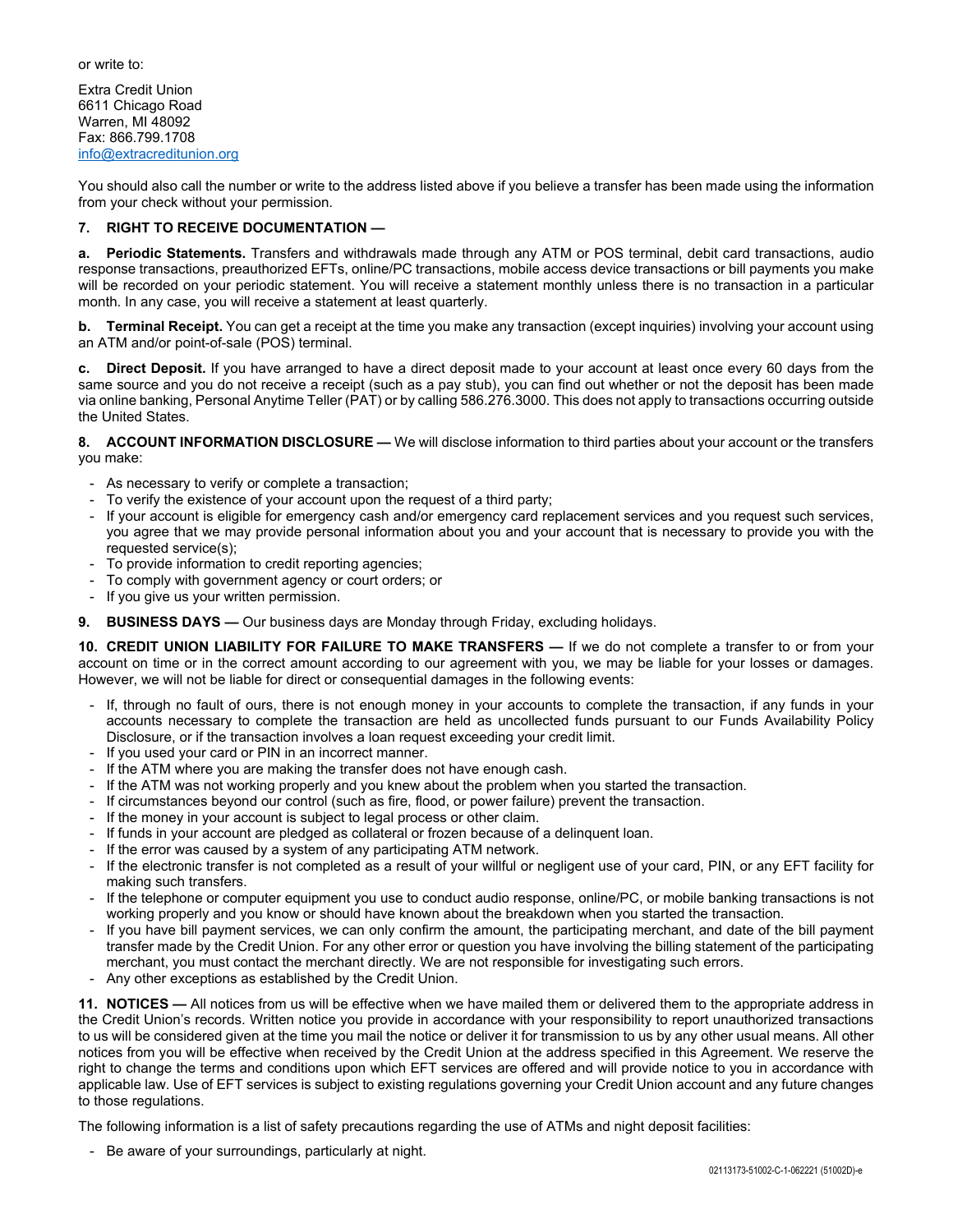or write to:

Extra Credit Union 6611 Chicago Road Warren, MI 48092 Fax: 866.799.1708 info@extracreditunion.org

You should also call the number or write to the address listed above if you believe a transfer has been made using the information from your check without your permission.

## **7. RIGHT TO RECEIVE DOCUMENTATION —**

**a. Periodic Statements.** Transfers and withdrawals made through any ATM or POS terminal, debit card transactions, audio response transactions, preauthorized EFTs, online/PC transactions, mobile access device transactions or bill payments you make will be recorded on your periodic statement. You will receive a statement monthly unless there is no transaction in a particular month. In any case, you will receive a statement at least quarterly.

**b. Terminal Receipt.** You can get a receipt at the time you make any transaction (except inquiries) involving your account using an ATM and/or point-of-sale (POS) terminal.

**c. Direct Deposit.** If you have arranged to have a direct deposit made to your account at least once every 60 days from the same source and you do not receive a receipt (such as a pay stub), you can find out whether or not the deposit has been made via online banking, Personal Anytime Teller (PAT) or by calling 586.276.3000. This does not apply to transactions occurring outside the United States.

**8. ACCOUNT INFORMATION DISCLOSURE —** We will disclose information to third parties about your account or the transfers you make:

- As necessary to verify or complete a transaction;
- To verify the existence of your account upon the request of a third party;
- If your account is eligible for emergency cash and/or emergency card replacement services and you request such services, you agree that we may provide personal information about you and your account that is necessary to provide you with the requested service(s);
- To provide information to credit reporting agencies;
- To comply with government agency or court orders; or
- If you give us your written permission.
- **9. BUSINESS DAYS —** Our business days are Monday through Friday, excluding holidays.

**10. CREDIT UNION LIABILITY FOR FAILURE TO MAKE TRANSFERS —** If we do not complete a transfer to or from your account on time or in the correct amount according to our agreement with you, we may be liable for your losses or damages. However, we will not be liable for direct or consequential damages in the following events:

- If, through no fault of ours, there is not enough money in your accounts to complete the transaction, if any funds in your accounts necessary to complete the transaction are held as uncollected funds pursuant to our Funds Availability Policy Disclosure, or if the transaction involves a loan request exceeding your credit limit.
- If you used your card or PIN in an incorrect manner.
- If the ATM where you are making the transfer does not have enough cash.
- If the ATM was not working properly and you knew about the problem when you started the transaction.
- If circumstances beyond our control (such as fire, flood, or power failure) prevent the transaction.
- If the money in your account is subject to legal process or other claim.
- If funds in your account are pledged as collateral or frozen because of a delinquent loan.
- If the error was caused by a system of any participating ATM network.
- If the electronic transfer is not completed as a result of your willful or negligent use of your card, PIN, or any EFT facility for making such transfers.
- If the telephone or computer equipment you use to conduct audio response, online/PC, or mobile banking transactions is not working properly and you know or should have known about the breakdown when you started the transaction.
- If you have bill payment services, we can only confirm the amount, the participating merchant, and date of the bill payment transfer made by the Credit Union. For any other error or question you have involving the billing statement of the participating merchant, you must contact the merchant directly. We are not responsible for investigating such errors.
- Any other exceptions as established by the Credit Union.

**11. NOTICES —** All notices from us will be effective when we have mailed them or delivered them to the appropriate address in the Credit Union's records. Written notice you provide in accordance with your responsibility to report unauthorized transactions to us will be considered given at the time you mail the notice or deliver it for transmission to us by any other usual means. All other notices from you will be effective when received by the Credit Union at the address specified in this Agreement. We reserve the right to change the terms and conditions upon which EFT services are offered and will provide notice to you in accordance with applicable law. Use of EFT services is subject to existing regulations governing your Credit Union account and any future changes to those regulations.

The following information is a list of safety precautions regarding the use of ATMs and night deposit facilities:

- Be aware of your surroundings, particularly at night.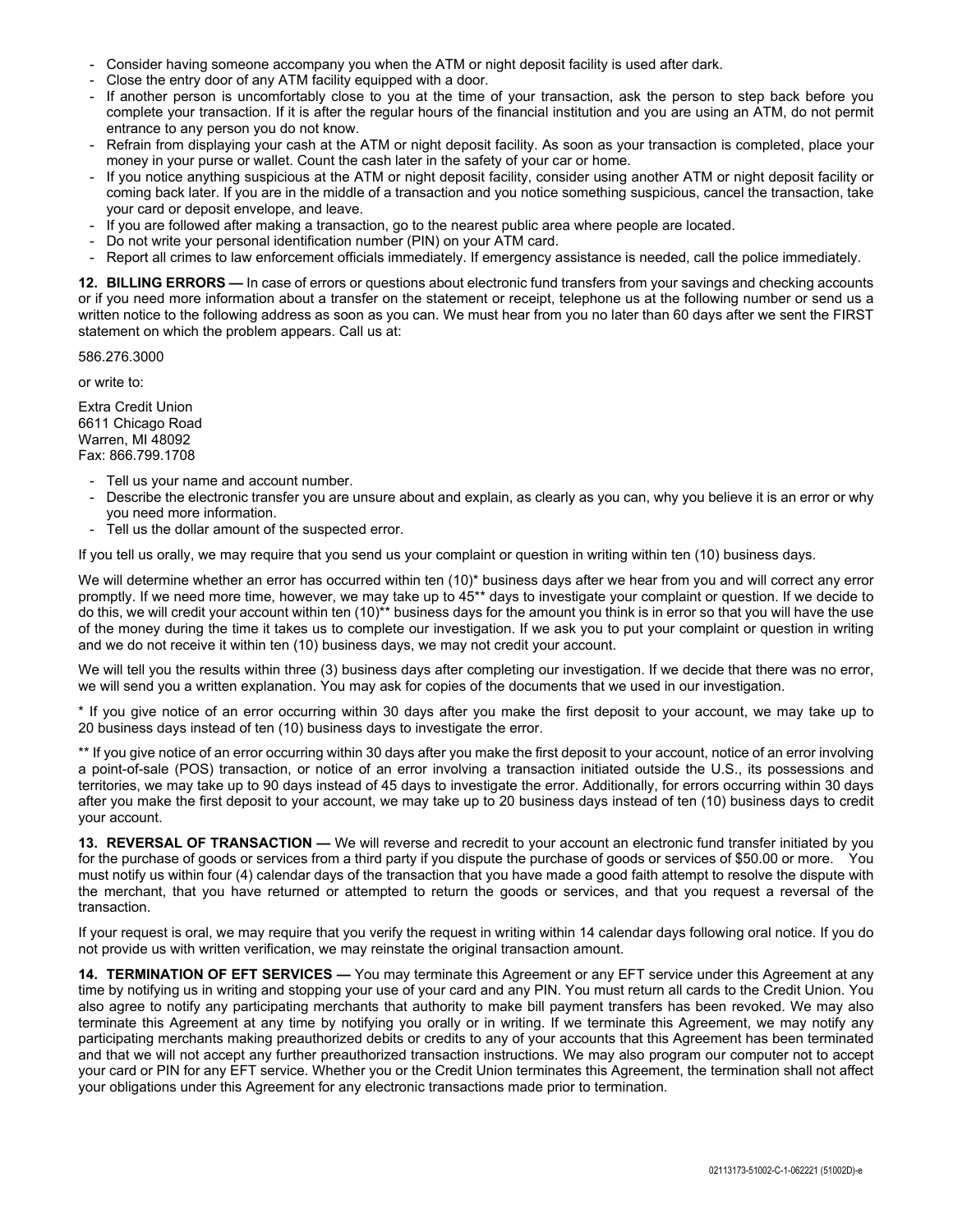- Consider having someone accompany you when the ATM or night deposit facility is used after dark.
- Close the entry door of any ATM facility equipped with a door.
- If another person is uncomfortably close to you at the time of your transaction, ask the person to step back before you complete your transaction. If it is after the regular hours of the financial institution and you are using an ATM, do not permit entrance to any person you do not know.
- Refrain from displaying your cash at the ATM or night deposit facility. As soon as your transaction is completed, place your money in your purse or wallet. Count the cash later in the safety of your car or home.
- If you notice anything suspicious at the ATM or night deposit facility, consider using another ATM or night deposit facility or coming back later. If you are in the middle of a transaction and you notice something suspicious, cancel the transaction, take your card or deposit envelope, and leave.
- If you are followed after making a transaction, go to the nearest public area where people are located.
- Do not write your personal identification number (PIN) on your ATM card.
- Report all crimes to law enforcement officials immediately. If emergency assistance is needed, call the police immediately.

**12. BILLING ERRORS —** In case of errors or questions about electronic fund transfers from your savings and checking accounts or if you need more information about a transfer on the statement or receipt, telephone us at the following number or send us a written notice to the following address as soon as you can. We must hear from you no later than 60 days after we sent the FIRST statement on which the problem appears. Call us at:

586.276.3000

or write to:

Extra Credit Union 6611 Chicago Road Warren, MI 48092 Fax: 866.799.1708

- Tell us your name and account number.
- Describe the electronic transfer you are unsure about and explain, as clearly as you can, why you believe it is an error or why you need more information.
- Tell us the dollar amount of the suspected error.

If you tell us orally, we may require that you send us your complaint or question in writing within ten (10) business days.

We will determine whether an error has occurred within ten (10)\* business days after we hear from you and will correct any error promptly. If we need more time, however, we may take up to 45\*\* days to investigate your complaint or question. If we decide to do this, we will credit your account within ten (10)\*\* business days for the amount you think is in error so that you will have the use of the money during the time it takes us to complete our investigation. If we ask you to put your complaint or question in writing and we do not receive it within ten (10) business days, we may not credit your account.

We will tell you the results within three (3) business days after completing our investigation. If we decide that there was no error, we will send you a written explanation. You may ask for copies of the documents that we used in our investigation.

\* If you give notice of an error occurring within 30 days after you make the first deposit to your account, we may take up to 20 business days instead of ten (10) business days to investigate the error.

\*\* If you give notice of an error occurring within 30 days after you make the first deposit to your account, notice of an error involving a point-of-sale (POS) transaction, or notice of an error involving a transaction initiated outside the U.S., its possessions and territories, we may take up to 90 days instead of 45 days to investigate the error. Additionally, for errors occurring within 30 days after you make the first deposit to your account, we may take up to 20 business days instead of ten (10) business days to credit your account.

**13. REVERSAL OF TRANSACTION —** We will reverse and recredit to your account an electronic fund transfer initiated by you for the purchase of goods or services from a third party if you dispute the purchase of goods or services of \$50.00 or more. You must notify us within four (4) calendar days of the transaction that you have made a good faith attempt to resolve the dispute with the merchant, that you have returned or attempted to return the goods or services, and that you request a reversal of the transaction.

If your request is oral, we may require that you verify the request in writing within 14 calendar days following oral notice. If you do not provide us with written verification, we may reinstate the original transaction amount.

**14. TERMINATION OF EFT SERVICES —** You may terminate this Agreement or any EFT service under this Agreement at any time by notifying us in writing and stopping your use of your card and any PIN. You must return all cards to the Credit Union. You also agree to notify any participating merchants that authority to make bill payment transfers has been revoked. We may also terminate this Agreement at any time by notifying you orally or in writing. If we terminate this Agreement, we may notify any participating merchants making preauthorized debits or credits to any of your accounts that this Agreement has been terminated and that we will not accept any further preauthorized transaction instructions. We may also program our computer not to accept your card or PIN for any EFT service. Whether you or the Credit Union terminates this Agreement, the termination shall not affect your obligations under this Agreement for any electronic transactions made prior to termination.